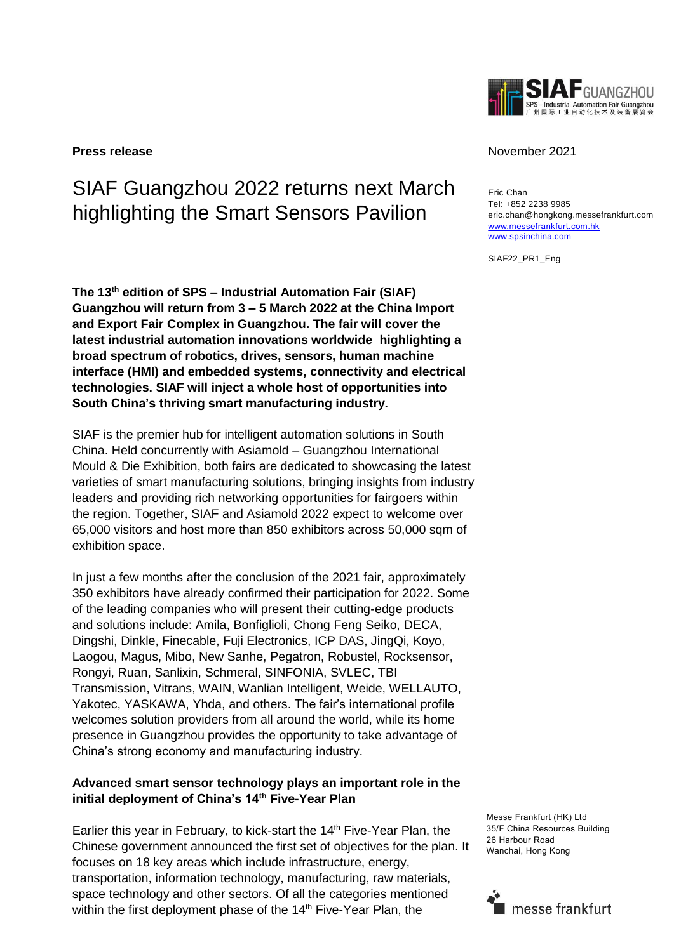

# SIAF Guangzhou 2022 returns next March highlighting the Smart Sensors Pavilion

**The 13 th edition of SPS – Industrial Automation Fair (SIAF) Guangzhou will return from 3 – 5 March 2022 at the China Import and Export Fair Complex in Guangzhou. The fair will cover the latest industrial automation innovations worldwide highlighting a broad spectrum of robotics, drives, sensors, human machine interface (HMI) and embedded systems, connectivity and electrical technologies. SIAF will inject a whole host of opportunities into South China's thriving smart manufacturing industry.**

SIAF is the premier hub for intelligent automation solutions in South China. Held concurrently with Asiamold – Guangzhou International Mould & Die Exhibition, both fairs are dedicated to showcasing the latest varieties of smart manufacturing solutions, bringing insights from industry leaders and providing rich networking opportunities for fairgoers within the region. Together, SIAF and Asiamold 2022 expect to welcome over 65,000 visitors and host more than 850 exhibitors across 50,000 sqm of exhibition space.

In just a few months after the conclusion of the 2021 fair, approximately 350 exhibitors have already confirmed their participation for 2022. Some of the leading companies who will present their cutting-edge products and solutions include: Amila, Bonfiglioli, Chong Feng Seiko, DECA, Dingshi, Dinkle, Finecable, Fuji Electronics, ICP DAS, JingQi, Koyo, Laogou, Magus, Mibo, New Sanhe, Pegatron, Robustel, Rocksensor, Rongyi, Ruan, Sanlixin, Schmeral, SINFONIA, SVLEC, TBI Transmission, Vitrans, WAIN, Wanlian Intelligent, Weide, WELLAUTO, Yakotec, YASKAWA, Yhda, and others. The fair's international profile welcomes solution providers from all around the world, while its home presence in Guangzhou provides the opportunity to take advantage of China's strong economy and manufacturing industry.

# **Advanced smart sensor technology plays an important role in the initial deployment of China's 14th Five-Year Plan**

Earlier this year in February, to kick-start the  $14<sup>th</sup>$  Five-Year Plan, the Chinese government announced the first set of objectives for the plan. It focuses on 18 key areas which include infrastructure, energy, transportation, information technology, manufacturing, raw materials, space technology and other sectors. Of all the categories mentioned within the first deployment phase of the 14<sup>th</sup> Five-Year Plan, the

### **Press release** November 2021

Eric Chan Tel: +852 2238 9985 eric.chan@hongkong.messefrankfurt.com [www.messefrankfurt.com.hk](http://www.messefrankfurt.com.hk/)  [www.spsinchina.com](http://www.spsinchina.com/)

SIAF22\_PR1\_Eng

Messe Frankfurt (HK) Ltd 35/F China Resources Building 26 Harbour Road Wanchai, Hong Kong

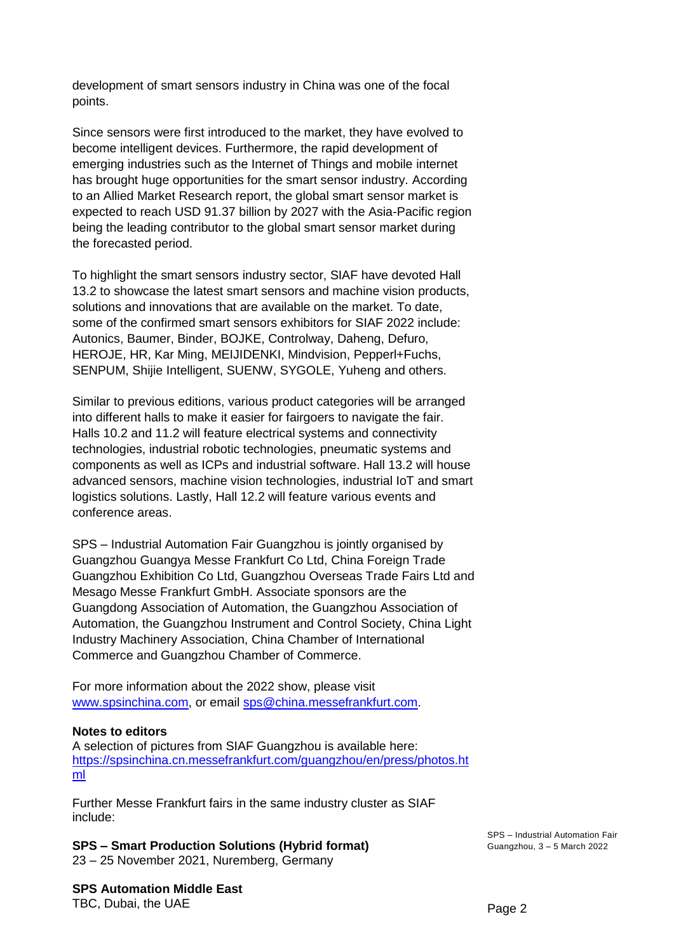development of smart sensors industry in China was one of the focal points.

Since sensors were first introduced to the market, they have evolved to become intelligent devices. Furthermore, the rapid development of emerging industries such as the Internet of Things and mobile internet has brought huge opportunities for the smart sensor industry. According to an Allied Market Research report, the global smart sensor market is expected to reach USD 91.37 billion by 2027 with the Asia-Pacific region being the leading contributor to the global smart sensor market during the forecasted period.

To highlight the smart sensors industry sector, SIAF have devoted Hall 13.2 to showcase the latest smart sensors and machine vision products, solutions and innovations that are available on the market. To date, some of the confirmed smart sensors exhibitors for SIAF 2022 include: Autonics, Baumer, Binder, BOJKE, Controlway, Daheng, Defuro, HEROJE, HR, Kar Ming, MEIJIDENKI, Mindvision, Pepperl+Fuchs, SENPUM, Shijie Intelligent, SUENW, SYGOLE, Yuheng and others.

Similar to previous editions, various product categories will be arranged into different halls to make it easier for fairgoers to navigate the fair. Halls 10.2 and 11.2 will feature electrical systems and connectivity technologies, industrial robotic technologies, pneumatic systems and components as well as ICPs and industrial software. Hall 13.2 will house advanced sensors, machine vision technologies, industrial IoT and smart logistics solutions. Lastly, Hall 12.2 will feature various events and conference areas.

SPS – Industrial Automation Fair Guangzhou is jointly organised by Guangzhou Guangya Messe Frankfurt Co Ltd, China Foreign Trade Guangzhou Exhibition Co Ltd, Guangzhou Overseas Trade Fairs Ltd and Mesago Messe Frankfurt GmbH. Associate sponsors are the Guangdong Association of Automation, the Guangzhou Association of Automation, the Guangzhou Instrument and Control Society, China Light Industry Machinery Association, China Chamber of International Commerce and Guangzhou Chamber of Commerce.

For more information about the 2022 show, please visit [www.spsinchina.com,](http://www.spsinchina.com/) or email [sps@china.messefrankfurt.com.](mailto:sps@china.messefrankfurt.com)

## **Notes to editors**

A selection of pictures from SIAF Guangzhou is available here: [https://spsinchina.cn.messefrankfurt.com/guangzhou/en/press/photos.ht](https://spsinchina.cn.messefrankfurt.com/guangzhou/en/press/photos.html) [ml](https://spsinchina.cn.messefrankfurt.com/guangzhou/en/press/photos.html)

Further Messe Frankfurt fairs in the same industry cluster as SIAF include:

**SPS – Smart Production Solutions (Hybrid format)** 23 – 25 November 2021, Nuremberg, Germany

**SPS Automation Middle East**

TBC, Dubai, the UAE

SPS – Industrial Automation Fair Guangzhou, 3 – 5 March 2022